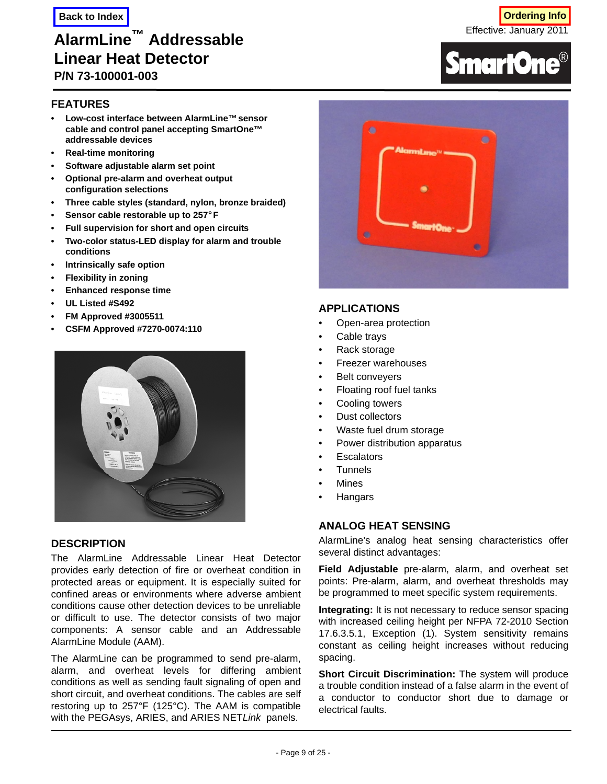# **AlarmLine™ Addressable Linear Heat Detector P/N 73-100001-003**

**FEATURES**

- **Low-cost interface between AlarmLine™sensor cable and control panel accepting SmartOne™ addressable devices**
- **Real-time monitoring**
- **Software adjustable alarm set point**
- **Optional pre-alarm and overheat output configuration selections**
- **Three cable styles (standard, nylon, bronze braided)**
- **Sensor cable restorable up to 257°F**
- **Full supervision for short and open circuits**
- **Two-color status-LED display for alarm and trouble conditions**
- **Intrinsically safe option**
- **Flexibility in zoning**
- **Enhanced response time**
- **UL Listed #S492**
- **FM Approved #3005511**
- **CSFM Approved #7270-0074:110**



## **DESCRIPTION**

The AlarmLine Addressable Linear Heat Detector provides early detection of fire or overheat condition in protected areas or equipment. It is especially suited for confined areas or environments where adverse ambient conditions cause other detection devices to be unreliable or difficult to use. The detector consists of two major components: A sensor cable and an Addressable AlarmLine Module (AAM).

The AlarmLine can be programmed to send pre-alarm, alarm, and overheat levels for differing ambient conditions as well as sending fault signaling of open and short circuit, and overheat conditions. The cables are self restoring up to 257°F (125°C). The AAM is compatible with the PEGAsys, ARIES, and ARIES NET*Link* panels.



Effective: January 2011





#### **APPLICATIONS**

- Open-area protection
- Cable trays
- Rack storage
- Freezer warehouses
- Belt conveyers
- Floating roof fuel tanks
- Cooling towers
- Dust collectors
- Waste fuel drum storage
- Power distribution apparatus
- **Escalators**
- **Tunnels**
- **Mines**
- **Hangars**

## **ANALOG HEAT SENSING**

AlarmLine's analog heat sensing characteristics offer several distinct advantages:

**Field Adjustable** pre-alarm, alarm, and overheat set points: Pre-alarm, alarm, and overheat thresholds may be programmed to meet specific system requirements.

**Integrating:** It is not necessary to reduce sensor spacing with increased ceiling height per NFPA 72-2010 Section 17.6.3.5.1, Exception (1). System sensitivity remains constant as ceiling height increases without reducing spacing.

**Short Circuit Discrimination:** The system will produce a trouble condition instead of a false alarm in the event of a conductor to conductor short due to damage or electrical faults.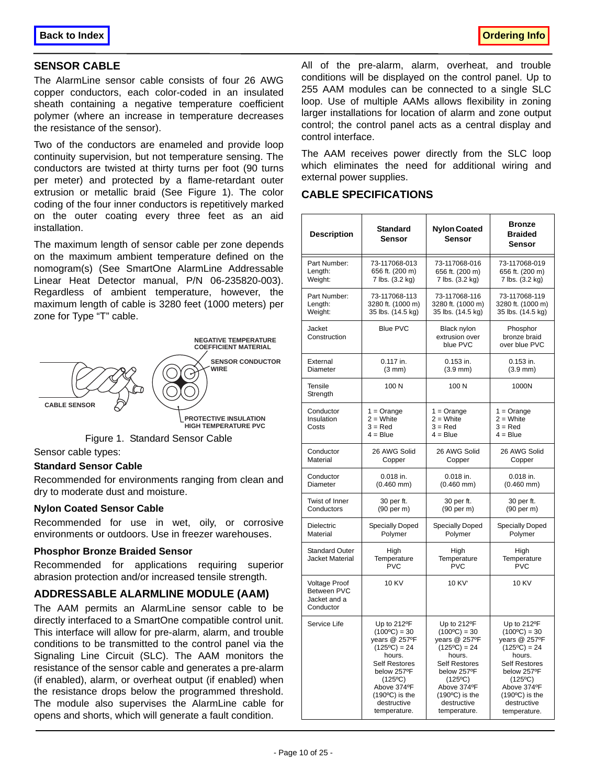## **SENSOR CABLE**

The AlarmLine sensor cable consists of four 26 AWG copper conductors, each color-coded in an insulated sheath containing a negative temperature coefficient polymer (where an increase in temperature decreases the resistance of the sensor).

Two of the conductors are enameled and provide loop continuity supervision, but not temperature sensing. The conductors are twisted at thirty turns per foot (90 turns per meter) and protected by a flame-retardant outer extrusion or metallic braid (See Figure 1). The color coding of the four inner conductors is repetitively marked on the outer coating every three feet as an aid installation.

The maximum length of sensor cable per zone depends on the maximum ambient temperature defined on the nomogram(s) (See SmartOne AlarmLine Addressable Linear Heat Detector manual, P/N 06-235820-003). Regardless of ambient temperature, however, the maximum length of cable is 3280 feet (1000 meters) per zone for Type "T" cable.



Sensor cable types:

#### **Standard Sensor Cable**

Recommended for environments ranging from clean and dry to moderate dust and moisture.

#### **Nylon Coated Sensor Cable**

Recommended for use in wet, oily, or corrosive environments or outdoors. Use in freezer warehouses.

#### **Phosphor Bronze Braided Sensor**

Recommended for applications requiring superior abrasion protection and/or increased tensile strength.

# **ADDRESSABLE ALARMLINE MODULE (AAM)**

The AAM permits an AlarmLine sensor cable to be directly interfaced to a SmartOne compatible control unit. This interface will allow for pre-alarm, alarm, and trouble conditions to be transmitted to the control panel via the Signaling Line Circuit (SLC). The AAM monitors the resistance of the sensor cable and generates a pre-alarm (if enabled), alarm, or overheat output (if enabled) when the resistance drops below the programmed threshold. The module also supervises the AlarmLine cable for opens and shorts, which will generate a fault condition.

All of the pre-alarm, alarm, overheat, and trouble conditions will be displayed on the control panel. Up to 255 AAM modules can be connected to a single SLC loop. Use of multiple AAMs allows flexibility in zoning larger installations for location of alarm and zone output control; the control panel acts as a central display and control interface.

The AAM receives power directly from the SLC loop which eliminates the need for additional wiring and external power supplies.

## **CABLE SPECIFICATIONS**

| <b>Description</b>                                                      | <b>Standard</b><br>Sensor                                                                                        | <b>Nylon Coated</b><br><b>Sensor</b>      | <b>Bronze</b><br><b>Braided</b><br>Sensor              |
|-------------------------------------------------------------------------|------------------------------------------------------------------------------------------------------------------|-------------------------------------------|--------------------------------------------------------|
| Part Number:                                                            | 73-117068-013                                                                                                    | 73-117068-016                             | 73-117068-019                                          |
| Length:                                                                 | 656 ft. (200 m)                                                                                                  | 656 ft. (200 m)                           | 656 ft. (200 m)                                        |
| Weight:                                                                 | 7 lbs. (3.2 kg)                                                                                                  | 7 lbs. (3.2 kg)                           | 7 lbs. (3.2 kg)                                        |
| Part Number:                                                            | 73-117068-113                                                                                                    | 73-117068-116                             | 73-117068-119                                          |
| Length:                                                                 | 3280 ft. (1000 m)                                                                                                | 3280 ft. (1000 m)                         | 3280 ft. (1000 m)                                      |
| Weight:                                                                 | 35 lbs. (14.5 kg)                                                                                                | 35 lbs. (14.5 kg)                         | 35 lbs. (14.5 kg)                                      |
| Jacket<br>Construction                                                  | <b>Blue PVC</b>                                                                                                  | Black nylon<br>extrusion over<br>blue PVC | Phosphor<br>bronze braid<br>over blue PVC              |
| External                                                                | 0.117 in.                                                                                                        | $0.153$ in.                               | $0.153$ in.                                            |
| Diameter                                                                | $(3 \text{ mm})$                                                                                                 | $(3.9 \, \text{mm})$                      | $(3.9 \, \text{mm})$                                   |
| Tensile<br>Strength                                                     | 100 N                                                                                                            | 100 N                                     | 1000N                                                  |
| Conductor<br>Insulation<br>Costs                                        | $1 = Orange$<br>$1 = Orange$<br>$2 =$ White<br>$2 =$ White<br>$3 = Red$<br>$3 = Red$<br>$4 = Blue$<br>$4 = Blue$ |                                           | $1 = Orange$<br>$2 =$ White<br>$3 = Red$<br>$4 = Blue$ |
| Conductor                                                               | 26 AWG Solid                                                                                                     | 26 AWG Solid                              | 26 AWG Solid                                           |
| Material                                                                | Copper                                                                                                           | Copper                                    | Copper                                                 |
| Conductor                                                               | $0.018$ in.                                                                                                      | 0.018 in.                                 | $0.018$ in.                                            |
| Diameter                                                                | $(0.460$ mm $)$                                                                                                  | $(0.460$ mm $)$                           | $(0.460$ mm $)$                                        |
| Twist of Inner                                                          | 30 per ft.                                                                                                       | 30 per ft.                                | 30 per ft.                                             |
| Conductors                                                              | (90 per m)                                                                                                       | $(90 \text{ per m})$                      | $(90 \text{ per m})$                                   |
| Dielectric                                                              | <b>Specially Doped</b>                                                                                           | <b>Specially Doped</b>                    | <b>Specially Doped</b>                                 |
| Material                                                                | Polymer                                                                                                          | Polymer                                   | Polymer                                                |
| <b>Standard Outer</b><br>Jacket Material                                | High<br>Temperature<br><b>PVC</b>                                                                                | High<br>Temperature<br><b>PVC</b>         | High<br>Temperature<br><b>PVC</b>                      |
| <b>Voltage Proof</b><br><b>Between PVC</b><br>Jacket and a<br>Conductor | 10 KV <sup>*</sup><br><b>10 KV</b>                                                                               |                                           | <b>10 KV</b>                                           |
| Service Life                                                            | Up to 212°F                                                                                                      | Up to 212°F                               | Up to 212°F                                            |
|                                                                         | $(100^{\circ}C) = 30$                                                                                            | $(100^{\circ}C) = 30$                     | $(100^{\circ}C) = 30$                                  |
|                                                                         | years @ 257°F                                                                                                    | years @ 257°F                             | years @ 257°F                                          |
|                                                                         | $(125°C) = 24$                                                                                                   | $(125°C) = 24$                            | $(125°C) = 24$                                         |
|                                                                         | hours.                                                                                                           | hours.                                    | hours.                                                 |
|                                                                         | <b>Self Restores</b>                                                                                             | <b>Self Restores</b>                      | Self Restores                                          |
|                                                                         | below 257°F                                                                                                      | below 257°F                               | below 257°F                                            |
|                                                                         | (125°C)                                                                                                          | (125°C)                                   | (125°C)                                                |
|                                                                         | Above 374°F                                                                                                      | Above 374°F                               | Above 374°F                                            |
|                                                                         | $(190^{\circ}C)$ is the                                                                                          | $(190^{\circ}C)$ is the                   | $(190^{\circ}C)$ is the                                |
|                                                                         | destructive                                                                                                      | destructive                               | destructive                                            |
|                                                                         | temperature.                                                                                                     | temperature.                              | temperature.                                           |